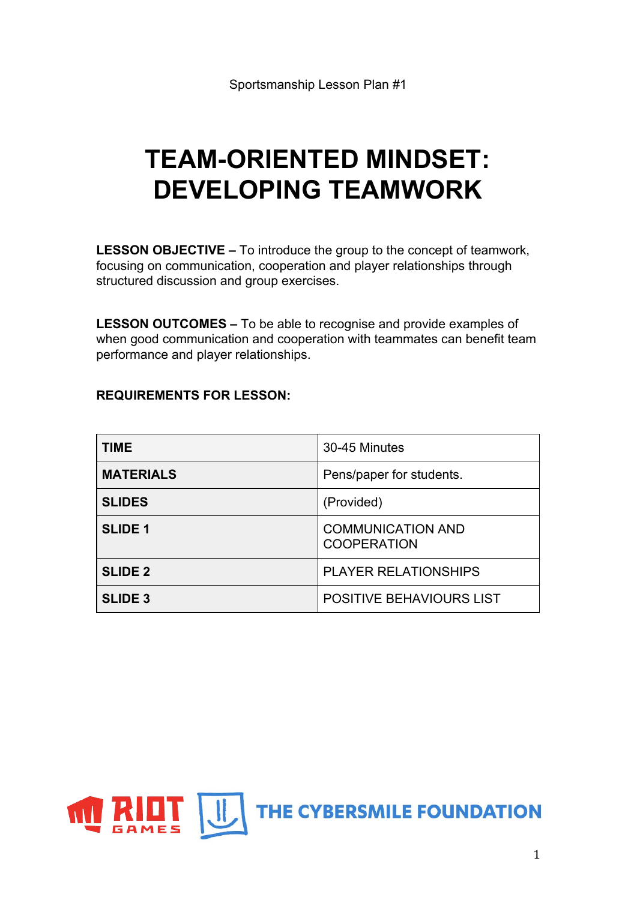# **TEAM-ORIENTED MINDSET: DEVELOPING TEAMWORK**

**LESSON OBJECTIVE –** To introduce the group to the concept of teamwork, focusing on communication, cooperation and player relationships through structured discussion and group exercises.

**LESSON OUTCOMES –** To be able to recognise and provide examples of when good communication and cooperation with teammates can benefit team performance and player relationships.

#### **REQUIREMENTS FOR LESSON:**

| <b>TIME</b>      | 30-45 Minutes                                  |
|------------------|------------------------------------------------|
| <b>MATERIALS</b> | Pens/paper for students.                       |
| <b>SLIDES</b>    | (Provided)                                     |
| <b>SLIDE 1</b>   | <b>COMMUNICATION AND</b><br><b>COOPERATION</b> |
| <b>SLIDE 2</b>   | <b>PLAYER RELATIONSHIPS</b>                    |
| <b>SLIDE 3</b>   | <b>POSITIVE BEHAVIOURS LIST</b>                |

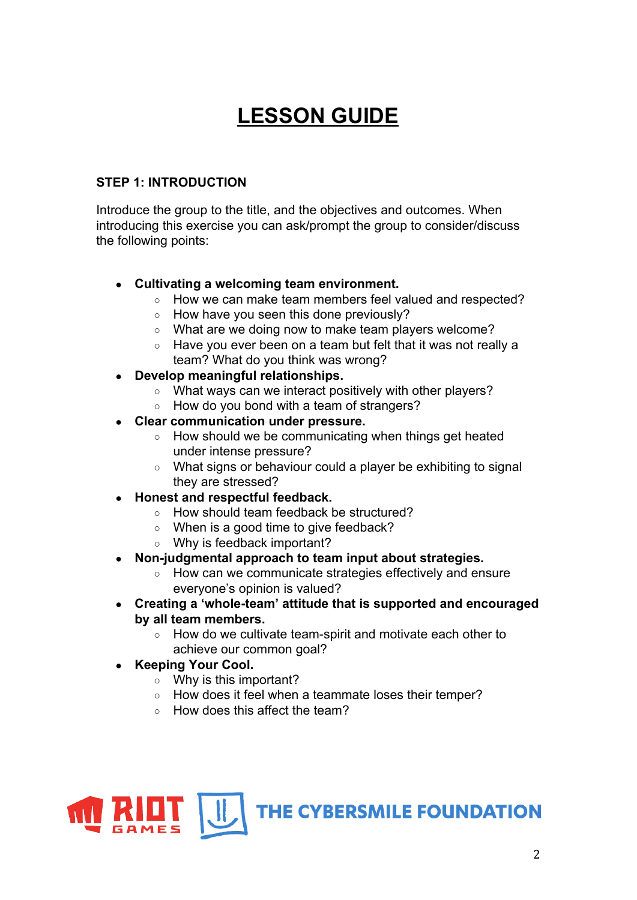# **LESSON GUIDE**

#### **STEP 1: INTRODUCTION**

Introduce the group to the title, and the objectives and outcomes. When introducing this exercise you can ask/prompt the group to consider/discuss the following points:

# **● Cultivating a welcoming team environment.**

- How we can make team members feel valued and respected?
- How have you seen this done previously?
- What are we doing now to make team players welcome?
- Have you ever been on a team but felt that it was not really a team? What do you think was wrong?
- **Develop meaningful relationships.** 
	- What ways can we interact positively with other players?
	- How do you bond with a team of strangers?
- **● Clear communication under pressure.**
	- How should we be communicating when things get heated under intense pressure?
	- What signs or behaviour could a player be exhibiting to signal they are stressed?
- **Honest and respectful feedback.**
	- How should team feedback be structured?
	- When is a good time to give feedback?
	- Why is feedback important?
- **Non-judgmental approach to team input about strategies.**
	- How can we communicate strategies effectively and ensure everyone's opinion is valued?
- **Creating a 'whole-team' attitude that is supported and encouraged by all team members.**
	- How do we cultivate team-spirit and motivate each other to achieve our common goal?
- **● Keeping Your Cool.**
	- Why is this important?
	- How does it feel when a teammate loses their temper?
	- How does this affect the team?

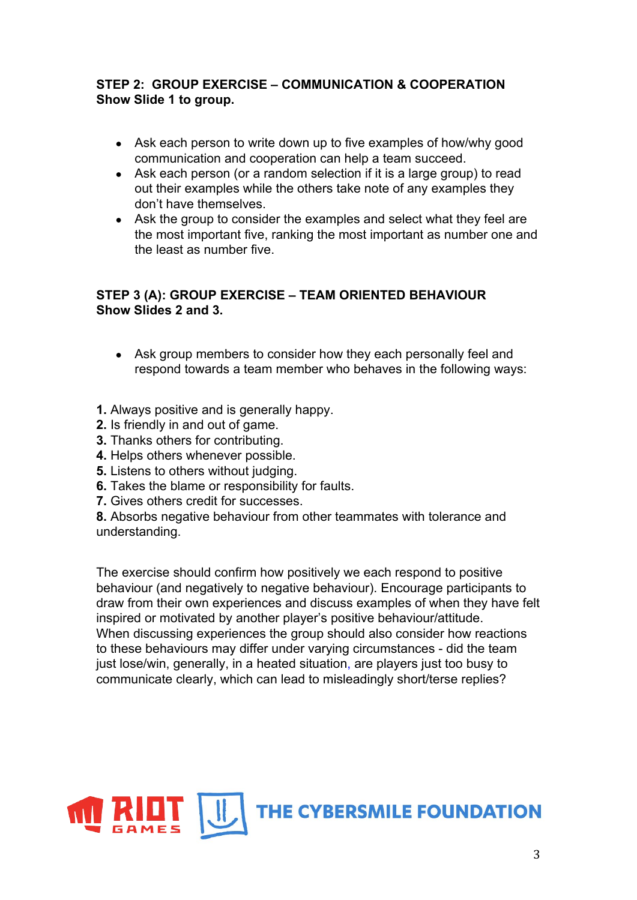# **STEP 2: GROUP EXERCISE – COMMUNICATION & COOPERATION Show Slide 1 to group.**

- Ask each person to write down up to five examples of how/why good communication and cooperation can help a team succeed.
- Ask each person (or a random selection if it is a large group) to read out their examples while the others take note of any examples they don't have themselves.
- Ask the group to consider the examples and select what they feel are the most important five, ranking the most important as number one and the least as number five.

# **STEP 3 (A): GROUP EXERCISE – TEAM ORIENTED BEHAVIOUR Show Slides 2 and 3.**

- Ask group members to consider how they each personally feel and respond towards a team member who behaves in the following ways:
- **1.** Always positive and is generally happy.
- **2.** Is friendly in and out of game.
- **3.** Thanks others for contributing.
- **4.** Helps others whenever possible.
- **5.** Listens to others without judging.
- **6.** Takes the blame or responsibility for faults.
- **7.** Gives others credit for successes.

**8.** Absorbs negative behaviour from other teammates with tolerance and understanding.

The exercise should confirm how positively we each respond to positive behaviour (and negatively to negative behaviour). Encourage participants to draw from their own experiences and discuss examples of when they have felt inspired or motivated by another player's positive behaviour/attitude. When discussing experiences the group should also consider how reactions to these behaviours may differ under varying circumstances - did the team just lose/win, generally, in a heated situation, are players just too busy to communicate clearly, which can lead to misleadingly short/terse replies?